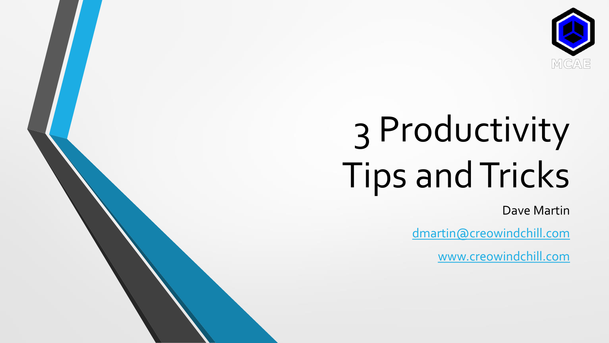

## 3 Productivity Tips and Tricks

Dave Martin

[dmartin@creowindchill.com](mailto:dmartin@creowindchill.com)

[www.creowindchill.com](http://www.creowindchill.com/)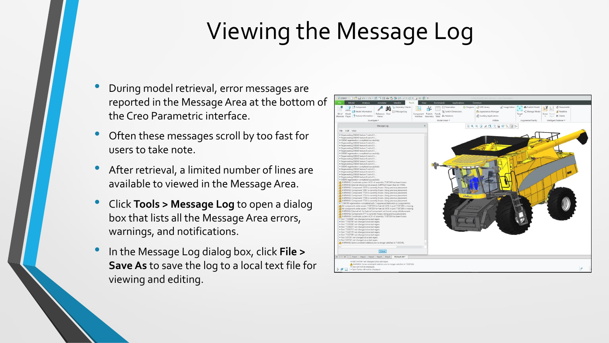## Viewing the Message Log

- During model retrieval, error messages are reported in the Message Area at the bottom of the Creo Parametric interface.
- Often these messages scroll by too fast for users to take note.
- After retrieval, a limited number of lines are available to viewed in the Message Area.
- Click **Tools <sup>&</sup>gt; Message Log** to open a dialog box that lists all the Message Area errors, warnings, and notifications.
- In the Message Log dialog box, click **File <sup>&</sup>gt; Save As** to save the log to a local text file for viewing and editing.

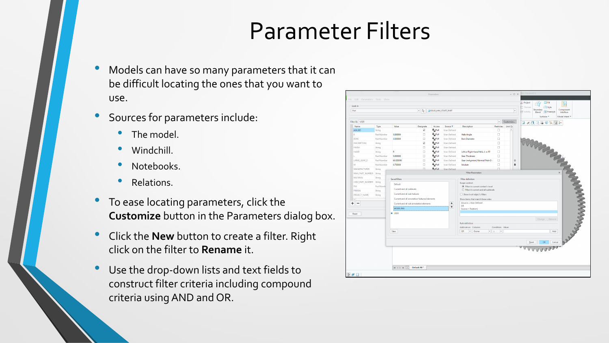## Parameter Filters

- Models can have so many parameters that it can be difficult locating the ones that you want to use.
- Sources for parameters include:
	- The model.
	- Windchill.
	- Notebooks.
	- Relations.
- To ease locating parameters, click the **Customize** button in the Parameters dialog box.
- Click the **New** button to create a filter. Right click on the filter to **Rename** it.
- Use the drop-down lists and text fields to construct filter criteria including compound criteria using AND and OR.

| Part                                    |                                          |                                                                                         | $ \sim$                           | GEAR_MM_START_PART                    |                                |                                                                                |                  |                    | $\overline{\phantom{a}}$ | Boundary<br>N Solidify<br>Blend | <b>C</b> Freestyle<br>Surfaces <sup>*</sup> | Component<br>Interface<br>Model Intent |
|-----------------------------------------|------------------------------------------|-----------------------------------------------------------------------------------------|-----------------------------------|---------------------------------------|--------------------------------|--------------------------------------------------------------------------------|------------------|--------------------|--------------------------|---------------------------------|---------------------------------------------|----------------------------------------|
| Filter By USER                          |                                          |                                                                                         |                                   |                                       |                                |                                                                                | ▾▏               | Customize          |                          |                                 | コンロ風風の次度と                                   |                                        |
| Name                                    | Type                                     | Value                                                                                   | Designate                         | Access<br><b>A</b> <sub>c</sub> erull | Source $\overline{\mathbf{v}}$ | <b>Description</b>                                                             |                  | Restricted Unit Qu |                          |                                 |                                             |                                        |
| <b>AGILEID</b><br>Ŕ                     | String                                   | 5.000000                                                                                | $\overline{\mathsf{v}}$<br>$\Box$ | <b>A</b> <sub>_PFull</sub>            | User-Defined                   |                                                                                | $\Box$           |                    |                          |                                 |                                             |                                        |
| <b>BORE</b>                             | <b>Real Number</b><br><b>Real Number</b> | 3,000000                                                                                | П                                 |                                       | User-Defined<br>User-Defined   | <b>Helix Angle</b><br><b>Bore Diameter</b>                                     | $\Box$<br>$\Box$ |                    |                          |                                 |                                             |                                        |
|                                         |                                          |                                                                                         |                                   | <b>EL OF UII</b><br><b>A</b> pFull    |                                |                                                                                |                  |                    |                          |                                 |                                             |                                        |
| <b>DESCRIPTION</b>                      | String                                   |                                                                                         | $\overline{\mathbf{v}}$           |                                       | User-Defined                   |                                                                                | $\Box$           |                    |                          |                                 |                                             |                                        |
| <b>FINISH</b>                           | String                                   |                                                                                         | $\Box$                            | A of ull                              | User-Defined                   |                                                                                | $\Box$           |                    |                          |                                 |                                             |                                        |
| <b>HAND</b>                             | String                                   | R                                                                                       | п                                 | <sup>2</sup> of ull                   | User-Defined                   | Left or Right Hand Helix, L or R?                                              | $\Box$           |                    |                          |                                 |                                             |                                        |
|                                         | <b>Real Number</b>                       | 5.000000                                                                                | $\Box$                            | <sup>2</sup> pFull                    | <b>User-Defined</b>            | <b>Gear Thickness</b>                                                          | $\Box$           |                    |                          |                                 |                                             |                                        |
| LARGE_GEAR_D                            | <b>Real Number</b>                       | 60,000000                                                                               | $\Box$                            | <sup>n</sup> rfull                    | <b>User-Defined</b>            | Gear (not pinion) Normal Pitch Di                                              | $\Box$           |                    | $\triangleq$             |                                 |                                             |                                        |
| M                                       | <b>Real Number</b>                       | 0.750000                                                                                | $\Box$                            | <sup>n</sup> Pfull                    | User-Defined                   | Module                                                                         | $\Box$           |                    | $\ddot{\phantom{a}}$     |                                 |                                             |                                        |
| <b>MANUFACTURER</b>                     | String                                   |                                                                                         | п                                 | <b>A</b> <sub>LPFull</sub>            | User-Defined                   |                                                                                | п                |                    |                          |                                 |                                             |                                        |
| MAN PART NUMBER String                  |                                          |                                                                                         |                                   |                                       |                                | <b>Filter Parameters</b>                                                       |                  |                    |                          |                                 |                                             |                                        |
| <b>MATERIAL</b>                         | String                                   | Saved filters<br>Default                                                                |                                   |                                       |                                | <b>Filter definition</b>                                                       |                  |                    |                          |                                 |                                             |                                        |
| ODM_PART_NUMBER String                  |                                          |                                                                                         |                                   |                                       |                                | Scope control:                                                                 |                  |                    |                          |                                 |                                             |                                        |
| PHI                                     | <b>Real Numb</b>                         | Current and all sublevels                                                               |                                   |                                       |                                | <b>REAL PROPERTY AND REAL PROPERTY.</b><br>◉ Filter in current context's level |                  |                    |                          |                                 |                                             |                                        |
| PINION                                  | String                                   |                                                                                         |                                   |                                       |                                | $\bigcirc$ Filter in current and all sublevels                                 |                  |                    |                          |                                 |                                             |                                        |
| PROJECT_NAME                            | String                                   | Current and all sub features                                                            |                                   |                                       |                                | Show in all object's filters                                                   |                  |                    |                          |                                 |                                             |                                        |
| $\left  \cdot \right $<br>÷<br>$\equiv$ |                                          | Current and all annotation features/elements<br>Current and all sub annotation elements |                                   |                                       |                                | Show items that match these rules:                                             |                  |                    |                          |                                 |                                             |                                        |
|                                         |                                          |                                                                                         |                                   |                                       | $\bullet$                      | (Source = User-Defined<br>OR                                                   |                  |                    |                          |                                 |                                             |                                        |
|                                         |                                          | MODELING                                                                                |                                   |                                       | $\ddot{\phantom{1}}$           | Source = Relation)                                                             |                  |                    |                          |                                 |                                             |                                        |
| Reset                                   |                                          | $+$ USER                                                                                |                                   |                                       |                                |                                                                                |                  |                    |                          |                                 |                                             |                                        |
|                                         |                                          |                                                                                         |                                   |                                       |                                |                                                                                |                  |                    |                          |                                 |                                             |                                        |
|                                         |                                          |                                                                                         |                                   |                                       |                                | <b>Rule definition</b>                                                         |                  |                    |                          |                                 |                                             |                                        |
|                                         |                                          |                                                                                         |                                   |                                       |                                | Add rule as: Column:                                                           |                  |                    |                          |                                 |                                             |                                        |
|                                         |                                          | Condition: Value:<br>$\vert \cdot \vert$ Owner<br>$ =$<br><b>New</b><br>OR<br>×         |                                   |                                       |                                |                                                                                |                  |                    |                          |                                 | Add                                         |                                        |
|                                         |                                          |                                                                                         |                                   |                                       |                                |                                                                                |                  |                    |                          |                                 |                                             |                                        |
|                                         |                                          |                                                                                         |                                   |                                       |                                |                                                                                |                  |                    |                          |                                 |                                             | any                                    |
|                                         |                                          |                                                                                         |                                   |                                       |                                |                                                                                |                  |                    |                          |                                 |                                             |                                        |
|                                         |                                          |                                                                                         |                                   |                                       |                                |                                                                                |                  |                    |                          |                                 | WWWWW                                       |                                        |
|                                         |                                          |                                                                                         |                                   |                                       |                                |                                                                                |                  |                    |                          |                                 |                                             |                                        |
|                                         |                                          |                                                                                         |                                   |                                       |                                |                                                                                |                  |                    |                          |                                 |                                             |                                        |
|                                         |                                          |                                                                                         |                                   |                                       |                                |                                                                                |                  |                    |                          |                                 |                                             |                                        |